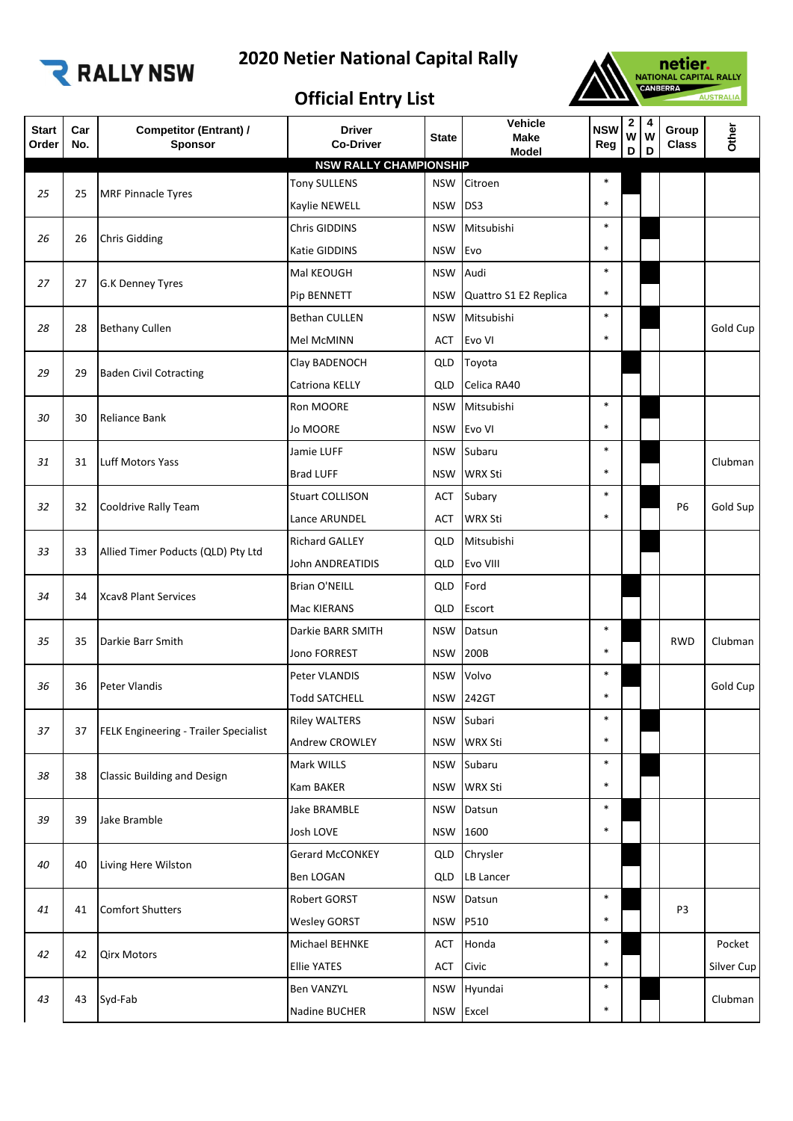

## **2020 Netier National Capital Rally**



## **Official Entry List**

|                                                                                                        | D | D              | Group<br>W<br><b>Class</b> | Other      |
|--------------------------------------------------------------------------------------------------------|---|----------------|----------------------------|------------|
| <b>NSW RALLY CHAMPIONSHIP</b>                                                                          |   |                |                            |            |
| $\ast$<br><b>Tony SULLENS</b><br><b>NSW</b><br>Citroen<br><b>MRF Pinnacle Tyres</b><br>25<br>25        |   |                |                            |            |
| $\ast$<br><b>NSW</b><br>DS3<br>Kaylie NEWELL                                                           |   |                |                            |            |
| $\ast$<br>Mitsubishi<br>Chris GIDDINS<br><b>NSW</b><br>26<br><b>Chris Gidding</b><br>26                |   |                |                            |            |
| $\ast$<br><b>NSW</b><br>Evo<br>Katie GIDDINS                                                           |   |                |                            |            |
| $\ast$<br>Audi<br><b>NSW</b><br>Mal KEOUGH<br>27<br>27<br>G.K Denney Tyres                             |   |                |                            |            |
| $\ast$<br>Pip BENNETT<br><b>NSW</b><br>Quattro S1 E2 Replica                                           |   |                |                            |            |
| $\ast$<br><b>Bethan CULLEN</b><br><b>NSW</b><br>Mitsubishi<br>28<br><b>Bethany Cullen</b><br>28        |   |                |                            | Gold Cup   |
| $\ast$<br>Evo VI<br>Mel McMINN<br><b>ACT</b>                                                           |   |                |                            |            |
| Toyota<br>Clay BADENOCH<br>QLD                                                                         |   |                |                            |            |
| 29<br><b>Baden Civil Cotracting</b><br>29<br>Celica RA40<br>Catriona KELLY<br>QLD                      |   |                |                            |            |
| $\ast$<br>Mitsubishi<br>Ron MOORE<br><b>NSW</b>                                                        |   |                |                            |            |
| <b>Reliance Bank</b><br>30<br>30<br>$\ast$<br>Evo VI<br>Jo MOORE<br><b>NSW</b>                         |   |                |                            |            |
| $\ast$<br>Subaru<br>Jamie LUFF<br><b>NSW</b>                                                           |   |                |                            |            |
| Luff Motors Yass<br>31<br>31<br>$\ast$<br><b>WRX Sti</b><br><b>Brad LUFF</b><br><b>NSW</b>             |   |                |                            | Clubman    |
| $\ast$<br>Subary<br><b>Stuart COLLISON</b><br>ACT                                                      |   |                |                            |            |
| 32<br>Cooldrive Rally Team<br>32<br>$\ast$<br><b>WRX Sti</b><br>Lance ARUNDEL<br><b>ACT</b>            |   | P <sub>6</sub> | Gold Sup                   |            |
| Mitsubishi<br><b>Richard GALLEY</b><br>QLD                                                             |   |                |                            |            |
| 33<br>Allied Timer Poducts (QLD) Pty Ltd<br>33<br><b>John ANDREATIDIS</b><br>Evo VIII<br>QLD           |   |                |                            |            |
| Ford<br><b>Brian O'NEILL</b><br>QLD                                                                    |   |                |                            |            |
| 34<br><b>Xcav8 Plant Services</b><br>34<br>Mac KIERANS<br>QLD<br>Escort                                |   |                |                            |            |
| $\ast$<br>Datsun<br>Darkie BARR SMITH<br><b>NSW</b>                                                    |   |                |                            |            |
| Darkie Barr Smith<br>35<br>35<br>$\ast$<br>Jono FORREST<br><b>NSW</b><br>200B                          |   |                | <b>RWD</b>                 | Clubman    |
| $\ast$<br>Volvo<br>Peter VLANDIS<br><b>NSW</b>                                                         |   |                |                            |            |
| 36<br><b>Peter Vlandis</b><br>36<br>$\ast$<br>242GT<br><b>Todd SATCHELL</b><br><b>NSW</b>              |   |                |                            | Gold Cup   |
| Subari<br>$\ast$<br><b>Riley WALTERS</b><br><b>NSW</b>                                                 |   |                |                            |            |
| 37<br>FELK Engineering - Trailer Specialist<br>37<br>$\ast$<br>Andrew CROWLEY<br><b>NSW</b><br>WRX Sti |   |                |                            |            |
| $\ast$<br>Mark WILLS<br>Subaru<br><b>NSW</b>                                                           |   |                |                            |            |
| <b>Classic Building and Design</b><br>38<br>38<br>$\ast$<br>WRX Sti<br><b>Kam BAKER</b><br><b>NSW</b>  |   |                |                            |            |
| $\ast$<br>Jake BRAMBLE<br><b>NSW</b><br>Datsun                                                         |   |                |                            |            |
| Jake Bramble<br>39<br>39<br>$\ast$<br>Josh LOVE<br>1600<br><b>NSW</b>                                  |   |                |                            |            |
| Gerard McCONKEY<br>Chrysler<br>QLD                                                                     |   |                |                            |            |
| 40<br>40<br>Living Here Wilston<br>Ben LOGAN<br>LB Lancer<br>QLD                                       |   |                |                            |            |
| $\ast$<br>Robert GORST<br><b>NSW</b><br>Datsun                                                         |   |                |                            |            |
| <b>Comfort Shutters</b><br>41<br>41<br>P510<br>$\ast$<br><b>Wesley GORST</b><br><b>NSW</b>             |   |                | P <sub>3</sub>             |            |
| $\ast$<br>Honda<br>Michael BEHNKE<br><b>ACT</b>                                                        |   |                |                            | Pocket     |
| <b>Qirx Motors</b><br>42<br>42<br>$\ast$<br><b>Ellie YATES</b><br><b>ACT</b><br>Civic                  |   |                |                            | Silver Cup |
| $\ast$<br><b>Ben VANZYL</b><br>Hyundai<br><b>NSW</b>                                                   |   |                |                            |            |
| 43<br>Syd-Fab<br>43<br>$\ast$<br><b>NSW</b><br>Excel<br>Nadine BUCHER                                  |   |                |                            | Clubman    |